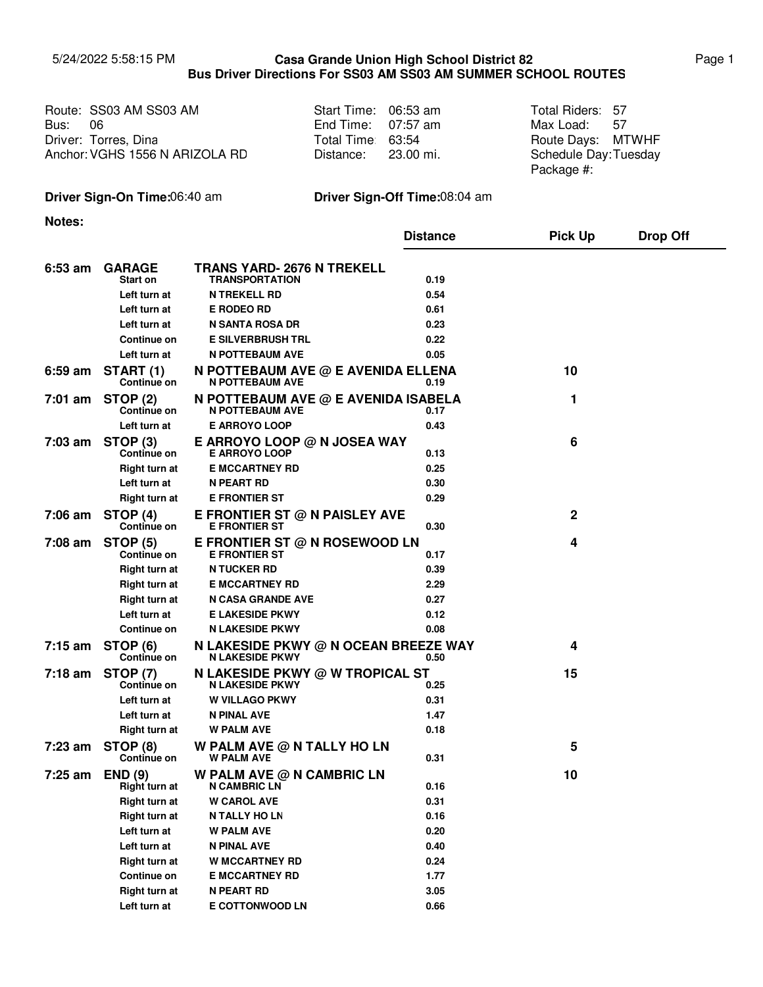## 5/24/2022 5:58:15 PM Page 1 **Casa Grande Union High School District 82 Bus Driver Directions For SS03 AM SS03 AM SUMMER SCHOOL ROUTES**

|         | Route: SS03 AM SS03 AM         | Start Time: 06:53 am | Total Riders: 57     |  |
|---------|--------------------------------|----------------------|----------------------|--|
| Bus: 06 |                                | End Time: $07:57$ am | Max Load: 57         |  |
|         | Driver: Torres, Dina           | Total Time 63:54     | Route Days: MTWHF    |  |
|         | Anchor: VGHS 1556 N ARIZOLA RD | Distance: 23.00 mi.  | Schedule Day:Tuesday |  |
|         |                                |                      | Package #:           |  |

## **Driver Sign-On Time:**06:40 am **Driver Sign-Off Time:**08:04 am

**Notes:**

|                   |                                       |                                                                | <b>Distance</b> | <b>Pick Up</b> | <b>Drop Off</b> |
|-------------------|---------------------------------------|----------------------------------------------------------------|-----------------|----------------|-----------------|
| $6:53$ am         | <b>GARAGE</b>                         | TRANS YARD- 2676 N TREKELL                                     |                 |                |                 |
|                   | Start on                              | <b>TRANSPORTATION</b>                                          | 0.19            |                |                 |
|                   | Left turn at                          | <b>N TREKELL RD</b>                                            | 0.54            |                |                 |
|                   | Left turn at                          | <b>E RODEO RD</b>                                              | 0.61            |                |                 |
|                   | Left turn at                          | N SANTA ROSA DR                                                | 0.23            |                |                 |
|                   | <b>Continue on</b>                    | <b>E SILVERBRUSH TRL</b>                                       | 0.22            |                |                 |
|                   | Left turn at                          | <b>N POTTEBAUM AVE</b>                                         | 0.05            |                |                 |
| 6:59 am           | START (1)<br>Continue on              | N POTTEBAUM AVE $@$ E AVENIDA ELLENA<br><b>N POTTEBAUM AVE</b> | 0.19            | 10             |                 |
| 7:01 am           | <b>STOP (2)</b><br><b>Continue on</b> | N POTTEBAUM AVE @ E AVENIDA ISABELA<br><b>N POTTEBAUM AVE</b>  | 0.17            | 1              |                 |
|                   | Left turn at                          | <b>E ARROYO LOOP</b>                                           | 0.43            |                |                 |
| $7:03$ am         | STOP (3)<br>Continue on               | E ARROYO LOOP @ N JOSEA WAY<br><b>E ARROYO LOOP</b>            | 0.13            | 6              |                 |
|                   | Right turn at                         | <b>E MCCARTNEY RD</b>                                          | 0.25            |                |                 |
|                   | Left turn at                          | N PEART RD                                                     | 0.30            |                |                 |
|                   | Right turn at                         | <b>E FRONTIER ST</b>                                           | 0.29            |                |                 |
| 7:06 am           | STOP (4)<br>Continue on               | E FRONTIER ST @ N PAISLEY AVE<br><b>E FRONTIER ST</b>          | 0.30            | 2              |                 |
| 7:08 am           | <b>STOP (5)</b><br>Continue on        | E FRONTIER ST @ N ROSEWOOD LN<br><b>E FRONTIER ST</b>          | 0.17            | 4              |                 |
|                   | <b>Right turn at</b>                  | <b>N TUCKER RD</b>                                             | 0.39            |                |                 |
|                   | <b>Right turn at</b>                  | <b>E MCCARTNEY RD</b>                                          | 2.29            |                |                 |
|                   | Right turn at                         | <b>N CASA GRANDE AVE</b>                                       | 0.27            |                |                 |
|                   | Left turn at                          | <b>E LAKESIDE PKWY</b>                                         | 0.12            |                |                 |
|                   | <b>Continue on</b>                    | <b>N LAKESIDE PKWY</b>                                         | 0.08            |                |                 |
| $7:15 \text{ am}$ | STOP (6)<br><b>Continue on</b>        | N LAKESIDE PKWY @ N OCEAN BREEZE WAY<br><b>N LAKESIDE PKWY</b> | 0.50            | 4              |                 |
| $7:18$ am         | <b>STOP (7)</b><br>Continue on        | N LAKESIDE PKWY @ W TROPICAL ST<br><b>N LAKESIDE PKWY</b>      | 0.25            | 15             |                 |
|                   | Left turn at                          | <b>W VILLAGO PKWY</b>                                          | 0.31            |                |                 |
|                   | Left turn at                          | N PINAL AVE                                                    | 1.47            |                |                 |
|                   | <b>Right turn at</b>                  | <b>W PALM AVE</b>                                              | 0.18            |                |                 |
| 7:23 am           | STOP (8)<br><b>Continue on</b>        | W PALM AVE $@$ N TALLY HO LN<br><b>W PALM AVE</b>              | 0.31            | 5              |                 |
| $7:25$ am         | END(9)<br><b>Right turn at</b>        | W PALM AVE @ N CAMBRIC LN<br><b>N CAMBRIC LN</b>               | 0.16            | 10             |                 |
|                   | <b>Right turn at</b>                  | <b>W CAROL AVE</b>                                             | 0.31            |                |                 |
|                   | <b>Right turn at</b>                  | <b>N TALLY HOLN</b>                                            | 0.16            |                |                 |
|                   | Left turn at                          | <b>W PALM AVE</b>                                              | 0.20            |                |                 |
|                   | Left turn at                          | <b>N PINAL AVE</b>                                             | 0.40            |                |                 |
|                   | <b>Right turn at</b>                  | <b>W MCCARTNEY RD</b>                                          | 0.24            |                |                 |
|                   | <b>Continue on</b>                    | <b>E MCCARTNEY RD</b>                                          | 1.77            |                |                 |
|                   | <b>Right turn at</b>                  | <b>N PEART RD</b>                                              | 3.05            |                |                 |
|                   | Left turn at                          | <b>E COTTONWOOD LN</b>                                         | 0.66            |                |                 |